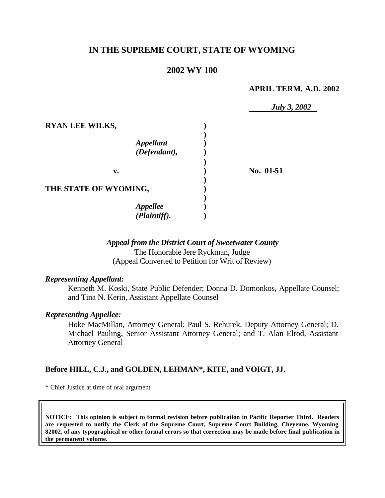# **IN THE SUPREME COURT, STATE OF WYOMING**

#### **2002 WY 100**

#### **APRIL TERM, A.D. 2002**

|                        | <i>July 3, 2002</i> |
|------------------------|---------------------|
| <b>RYAN LEE WILKS,</b> |                     |
|                        |                     |
| <b>Appellant</b>       |                     |
| (Defendant),           |                     |
|                        |                     |
| v.                     | No. 01-51           |
|                        |                     |
| THE STATE OF WYOMING,  |                     |
|                        |                     |
| <b>Appellee</b>        |                     |
| (Plaintiff).           |                     |

# *Appeal from the District Court of Sweetwater County*

The Honorable Jere Ryckman, Judge (Appeal Converted to Petition for Writ of Review)

#### *Representing Appellant:*

Kenneth M. Koski, State Public Defender; Donna D. Domonkos, Appellate Counsel; and Tina N. Kerin, Assistant Appellate Counsel

#### *Representing Appellee:*

Hoke MacMillan, Attorney General; Paul S. Rehurek, Deputy Attorney General; D. Michael Pauling, Senior Assistant Attorney General; and T. Alan Elrod, Assistant Attorney General

#### **Before HILL, C.J., and GOLDEN, LEHMAN\*, KITE, and VOIGT, JJ.**

\* Chief Justice at time of oral argument

**NOTICE: This opinion is subject to formal revision before publication in Pacific Reporter Third. Readers are requested to notify the Clerk of the Supreme Court, Supreme Court Building, Cheyenne, Wyoming 82002, of any typographical or other formal errors so that correction may be made before final publication in the permanent volume.**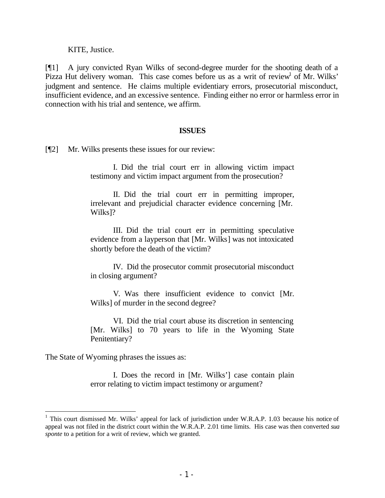KITE, Justice.

[¶1] A jury convicted Ryan Wilks of second-degree murder for the shooting death of a Pizza Hut delivery woman. This case comes before us as a writ of review<sup>1</sup> of Mr. Wilks' judgment and sentence. He claims multiple evidentiary errors, prosecutorial misconduct, insufficient evidence, and an excessive sentence. Finding either no error or harmless error in connection with his trial and sentence, we affirm.

#### **ISSUES**

[¶2] Mr. Wilks presents these issues for our review:

I. Did the trial court err in allowing victim impact testimony and victim impact argument from the prosecution?

II. Did the trial court err in permitting improper, irrelevant and prejudicial character evidence concerning [Mr. Wilks]?

III. Did the trial court err in permitting speculative evidence from a layperson that [Mr. Wilks] was not intoxicated shortly before the death of the victim?

IV. Did the prosecutor commit prosecutorial misconduct in closing argument?

V. Was there insufficient evidence to convict [Mr. Wilks] of murder in the second degree?

VI. Did the trial court abuse its discretion in sentencing [Mr. Wilks] to 70 years to life in the Wyoming State Penitentiary?

The State of Wyoming phrases the issues as:

I. Does the record in [Mr. Wilks'] case contain plain error relating to victim impact testimony or argument?

<sup>&</sup>lt;sup>1</sup> This court dismissed Mr. Wilks' appeal for lack of jurisdiction under W.R.A.P. 1.03 because his notice of appeal was not filed in the district court within the W.R.A.P. 2.01 time limits. His case was then converted *sua sponte* to a petition for a writ of review, which we granted.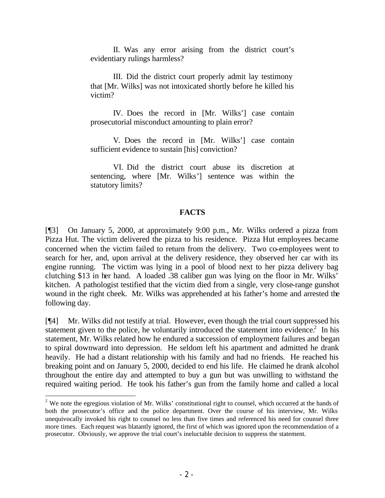II. Was any error arising from the district court's evidentiary rulings harmless?

III. Did the district court properly admit lay testimony that [Mr. Wilks] was not intoxicated shortly before he killed his victim?

IV. Does the record in [Mr. Wilks'] case contain prosecutorial misconduct amounting to plain error?

V. Does the record in [Mr. Wilks'] case contain sufficient evidence to sustain [his] conviction?

VI. Did the district court abuse its discretion at sentencing, where [Mr. Wilks'] sentence was within the statutory limits?

#### **FACTS**

[¶3] On January 5, 2000, at approximately 9:00 p.m., Mr. Wilks ordered a pizza from Pizza Hut. The victim delivered the pizza to his residence. Pizza Hut employees became concerned when the victim failed to return from the delivery. Two co-employees went to search for her, and, upon arrival at the delivery residence, they observed her car with its engine running. The victim was lying in a pool of blood next to her pizza delivery bag clutching \$13 in her hand. A loaded .38 caliber gun was lying on the floor in Mr. Wilks' kitchen. A pathologist testified that the victim died from a single, very close-range gunshot wound in the right cheek. Mr. Wilks was apprehended at his father's home and arrested the following day.

[¶4] Mr. Wilks did not testify at trial. However, even though the trial court suppressed his statement given to the police, he voluntarily introduced the statement into evidence.<sup>2</sup> In his statement, Mr. Wilks related how he endured a succession of employment failures and began to spiral downward into depression. He seldom left his apartment and admitted he drank heavily. He had a distant relationship with his family and had no friends. He reached his breaking point and on January 5, 2000, decided to end his life. He claimed he drank alcohol throughout the entire day and attempted to buy a gun but was unwilling to withstand the required waiting period. He took his father's gun from the family home and called a local

 $2$  We note the egregious violation of Mr. Wilks' constitutional right to counsel, which occurred at the hands of both the prosecutor's office and the police department. Over the course of his interview, Mr. Wilks unequivocally invoked his right to counsel no less than five times and referenced his need for counsel three more times. Each request was blatantly ignored, the first of which was ignored upon the recommendation of a prosecutor. Obviously, we approve the trial court's ineluctable decision to suppress the statement.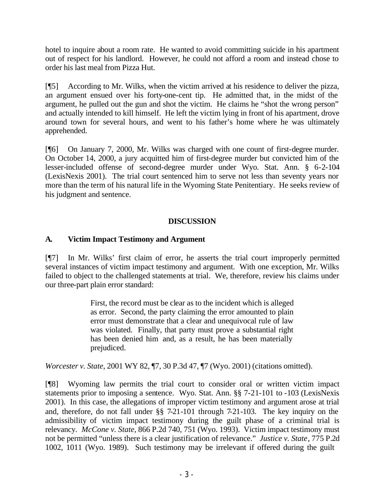hotel to inquire about a room rate. He wanted to avoid committing suicide in his apartment out of respect for his landlord. However, he could not afford a room and instead chose to order his last meal from Pizza Hut.

[¶5] According to Mr. Wilks, when the victim arrived at his residence to deliver the pizza, an argument ensued over his forty-one-cent tip. He admitted that, in the midst of the argument, he pulled out the gun and shot the victim. He claims he "shot the wrong person" and actually intended to kill himself. He left the victim lying in front of his apartment, drove around town for several hours, and went to his father's home where he was ultimately apprehended.

[¶6] On January 7, 2000, Mr. Wilks was charged with one count of first-degree murder. On October 14, 2000, a jury acquitted him of first-degree murder but convicted him of the lesser-included offense of second-degree murder under Wyo. Stat. Ann. § 6-2-104 (LexisNexis 2001). The trial court sentenced him to serve not less than seventy years nor more than the term of his natural life in the Wyoming State Penitentiary. He seeks review of his judgment and sentence.

# **DISCUSSION**

# **A. Victim Impact Testimony and Argument**

[¶7] In Mr. Wilks' first claim of error, he asserts the trial court improperly permitted several instances of victim impact testimony and argument. With one exception, Mr. Wilks failed to object to the challenged statements at trial. We, therefore, review his claims under our three-part plain error standard:

> First, the record must be clear as to the incident which is alleged as error. Second, the party claiming the error amounted to plain error must demonstrate that a clear and unequivocal rule of law was violated. Finally, that party must prove a substantial right has been denied him and, as a result, he has been materially prejudiced.

*Worcester v. State*, 2001 WY 82, ¶7, 30 P.3d 47, ¶7 (Wyo. 2001) (citations omitted).

[¶8] Wyoming law permits the trial court to consider oral or written victim impact statements prior to imposing a sentence. Wyo. Stat. Ann. §§ 7-21-101 to -103 (LexisNexis 2001). In this case, the allegations of improper victim testimony and argument arose at trial and, therefore, do not fall under §§ 7-21-101 through 7-21-103. The key inquiry on the admissibility of victim impact testimony during the guilt phase of a criminal trial is relevancy. *McCone v. State*, 866 P.2d 740, 751 (Wyo. 1993). Victim impact testimony must not be permitted "unless there is a clear justification of relevance." *Justice v. State*, 775 P.2d 1002, 1011 (Wyo. 1989). Such testimony may be irrelevant if offered during the guilt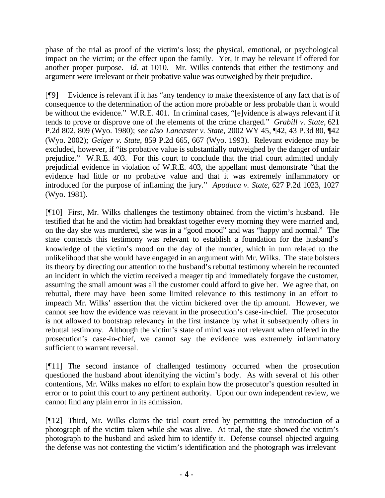phase of the trial as proof of the victim's loss; the physical, emotional, or psychological impact on the victim; or the effect upon the family. Yet, it may be relevant if offered for another proper purpose. *Id*. at 1010. Mr. Wilks contends that either the testimony and argument were irrelevant or their probative value was outweighed by their prejudice.

[¶9] Evidence is relevant if it has "any tendency to make the existence of any fact that is of consequence to the determination of the action more probable or less probable than it would be without the evidence." W.R.E. 401. In criminal cases, "[e]vidence is always relevant if it tends to prove or disprove one of the elements of the crime charged." *Grabill v. State*, 621 P.2d 802, 809 (Wyo. 1980); *see also Lancaster v. State*, 2002 WY 45, ¶42, 43 P.3d 80, ¶42 (Wyo. 2002); *Geiger v. State*, 859 P.2d 665, 667 (Wyo. 1993). Relevant evidence may be excluded, however, if "its probative value is substantially outweighed by the danger of unfair prejudice." W.R.E. 403. For this court to conclude that the trial court admitted unduly prejudicial evidence in violation of W.R.E. 403, the appellant must demonstrate "that the evidence had little or no probative value and that it was extremely inflammatory or introduced for the purpose of inflaming the jury." *Apodaca v. State*, 627 P.2d 1023, 1027 (Wyo. 1981).

[¶10] First, Mr. Wilks challenges the testimony obtained from the victim's husband. He testified that he and the victim had breakfast together every morning they were married and, on the day she was murdered, she was in a "good mood" and was "happy and normal." The state contends this testimony was relevant to establish a foundation for the husband's knowledge of the victim's mood on the day of the murder, which in turn related to the unlikelihood that she would have engaged in an argument with Mr. Wilks. The state bolsters its theory by directing our attention to the husband's rebuttal testimony wherein he recounted an incident in which the victim received a meager tip and immediately forgave the customer, assuming the small amount was all the customer could afford to give her. We agree that, on rebuttal, there may have been some limited relevance to this testimony in an effort to impeach Mr. Wilks' assertion that the victim bickered over the tip amount. However, we cannot see how the evidence was relevant in the prosecution's case-in-chief. The prosecutor is not allowed to bootstrap relevancy in the first instance by what it subsequently offers in rebuttal testimony. Although the victim's state of mind was not relevant when offered in the prosecution's case-in-chief, we cannot say the evidence was extremely inflammatory sufficient to warrant reversal.

[¶11] The second instance of challenged testimony occurred when the prosecution questioned the husband about identifying the victim's body. As with several of his other contentions, Mr. Wilks makes no effort to explain how the prosecutor's question resulted in error or to point this court to any pertinent authority. Upon our own independent review, we cannot find any plain error in its admission.

[¶12] Third, Mr. Wilks claims the trial court erred by permitting the introduction of a photograph of the victim taken while she was alive. At trial, the state showed the victim's photograph to the husband and asked him to identify it. Defense counsel objected arguing the defense was not contesting the victim's identification and the photograph was irrelevant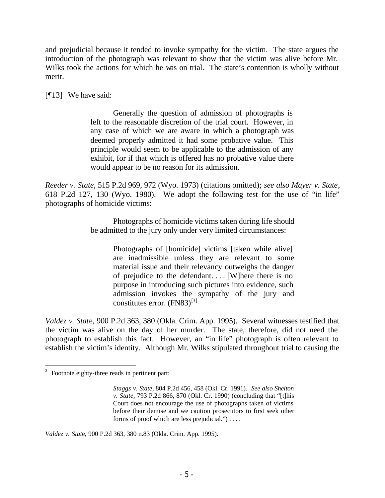and prejudicial because it tended to invoke sympathy for the victim. The state argues the introduction of the photograph was relevant to show that the victim was alive before Mr. Wilks took the actions for which he was on trial. The state's contention is wholly without merit.

[¶13] We have said:

Generally the question of admission of photographs is left to the reasonable discretion of the trial court. However, in any case of which we are aware in which a photograph was deemed properly admitted it had some probative value. This principle would seem to be applicable to the admission of any exhibit, for if that which is offered has no probative value there would appear to be no reason for its admission.

*Reeder v. State*, 515 P.2d 969, 972 (Wyo. 1973) (citations omitted); *see also Mayer v. State*, 618 P.2d 127, 130 (Wyo. 1980). We adopt the following test for the use of "in life" photographs of homicide victims:

> Photographs of homicide victims taken during life should be admitted to the jury only under very limited circumstances:

> > Photographs of [homicide] victims [taken while alive] are inadmissible unless they are relevant to some material issue and their relevancy outweighs the danger of prejudice to the defendant.... [W]here there is no purpose in introducing such pictures into evidence, such admission invokes the sympathy of the jury and constitutes error.  $(FN83)^{[3]}$

*Valdez v. Stat*e, 900 P.2d 363, 380 (Okla. Crim. App. 1995). Several witnesses testified that the victim was alive on the day of her murder. The state, therefore, did not need the photograph to establish this fact. However, an "in life" photograph is often relevant to establish the victim's identity. Although Mr. Wilks stipulated throughout trial to causing the

*Valdez v. Stat*e, 900 P.2d 363, 380 n.83 (Okla. Crim. App. 1995).

  $3$  Footnote eighty-three reads in pertinent part:

*Staggs v. State*, 804 P.2d 456, 458 (Okl. Cr. 1991). *See also Shelton v. State*, 793 P.2d 866, 870 (Okl. Cr. 1990) (concluding that "[t]his Court does not encourage the use of photographs taken of victims before their demise and we caution prosecutors to first seek other forms of proof which are less prejudicial.") . . . .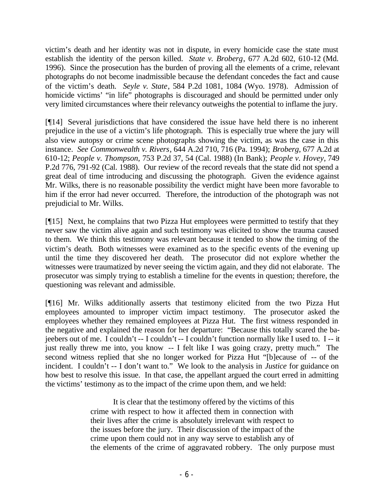victim's death and her identity was not in dispute, in every homicide case the state must establish the identity of the person killed. *State v. Broberg*, 677 A.2d 602, 610-12 (Md. 1996). Since the prosecution has the burden of proving all the elements of a crime, relevant photographs do not become inadmissible because the defendant concedes the fact and cause of the victim's death. *Seyle v. State*, 584 P.2d 1081, 1084 (Wyo. 1978). Admission of homicide victims' "in life" photographs is discouraged and should be permitted under only very limited circumstances where their relevancy outweighs the potential to inflame the jury.

[¶14] Several jurisdictions that have considered the issue have held there is no inherent prejudice in the use of a victim's life photograph. This is especially true where the jury will also view autopsy or crime scene photographs showing the victim, as was the case in this instance. *See Commonwealth v. Rivers*, 644 A.2d 710, 716 (Pa. 1994); *Broberg*, 677 A.2d at 610-12; *People v. Thompson*, 753 P.2d 37, 54 (Cal. 1988) (In Bank); *People v. Hovey*, 749 P.2d 776, 791-92 (Cal. 1988). Our review of the record reveals that the state did not spend a great deal of time introducing and discussing the photograph. Given the evidence against Mr. Wilks, there is no reasonable possibility the verdict might have been more favorable to him if the error had never occurred. Therefore, the introduction of the photograph was not prejudicial to Mr. Wilks.

[¶15] Next, he complains that two Pizza Hut employees were permitted to testify that they never saw the victim alive again and such testimony was elicited to show the trauma caused to them. We think this testimony was relevant because it tended to show the timing of the victim's death. Both witnesses were examined as to the specific events of the evening up until the time they discovered her death. The prosecutor did not explore whether the witnesses were traumatized by never seeing the victim again, and they did not elaborate. The prosecutor was simply trying to establish a timeline for the events in question; therefore, the questioning was relevant and admissible.

[¶16] Mr. Wilks additionally asserts that testimony elicited from the two Pizza Hut employees amounted to improper victim impact testimony. The prosecutor asked the employees whether they remained employees at Pizza Hut. The first witness responded in the negative and explained the reason for her departure: "Because this totally scared the bajeebers out of me. I couldn't -- I couldn't -- I couldn't function normally like I used to. I -- it just really threw me into, you know -- I felt like I was going crazy, pretty much." The second witness replied that she no longer worked for Pizza Hut "[b]ecause of -- of the incident. I couldn't -- I don't want to." We look to the analysis in *Justice* for guidance on how best to resolve this issue. In that case, the appellant argued the court erred in admitting the victims' testimony as to the impact of the crime upon them, and we held:

> It is clear that the testimony offered by the victims of this crime with respect to how it affected them in connection with their lives after the crime is absolutely irrelevant with respect to the issues before the jury. Their discussion of the impact of the crime upon them could not in any way serve to establish any of the elements of the crime of aggravated robbery. The only purpose must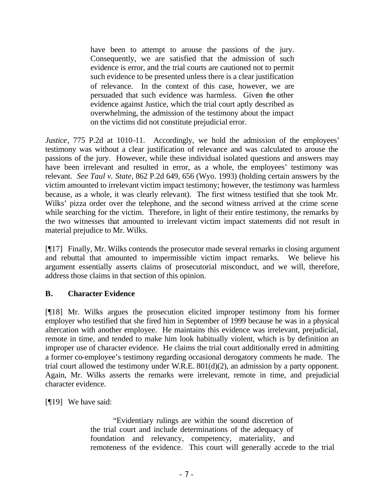have been to attempt to arouse the passions of the jury. Consequently, we are satisfied that the admission of such evidence is error, and the trial courts are cautioned not to permit such evidence to be presented unless there is a clear justification of relevance. In the context of this case, however, we are persuaded that such evidence was harmless. Given the other evidence against Justice, which the trial court aptly described as overwhelming, the admission of the testimony about the impact on the victims did not constitute prejudicial error.

*Justice*, 775 P.2d at 1010-11. Accordingly, we hold the admission of the employees' testimony was without a clear justification of relevance and was calculated to arouse the passions of the jury. However, while these individual isolated questions and answers may have been irrelevant and resulted in error, as a whole, the employees' testimony was relevant. *See Taul v. State*, 862 P.2d 649, 656 (Wyo. 1993) (holding certain answers by the victim amounted to irrelevant victim impact testimony; however, the testimony was harmless because, as a whole, it was clearly relevant). The first witness testified that she took Mr. Wilks' pizza order over the telephone, and the second witness arrived at the crime scene while searching for the victim. Therefore, in light of their entire testimony, the remarks by the two witnesses that amounted to irrelevant victim impact statements did not result in material prejudice to Mr. Wilks.

[¶17] Finally, Mr. Wilks contends the prosecutor made several remarks in closing argument and rebuttal that amounted to impermissible victim impact remarks. We believe his argument essentially asserts claims of prosecutorial misconduct, and we will, therefore, address those claims in that section of this opinion.

## **B. Character Evidence**

[¶18] Mr. Wilks argues the prosecution elicited improper testimony from his former employer who testified that she fired him in September of 1999 because he was in a physical altercation with another employee. He maintains this evidence was irrelevant, prejudicial, remote in time, and tended to make him look habitually violent, which is by definition an improper use of character evidence. He claims the trial court additionally erred in admitting a former co-employee's testimony regarding occasional derogatory comments he made. The trial court allowed the testimony under W.R.E. 801(d)(2), an admission by a party opponent. Again, Mr. Wilks asserts the remarks were irrelevant, remote in time, and prejudicial character evidence.

[¶19] We have said:

"Evidentiary rulings are within the sound discretion of the trial court and include determinations of the adequacy of foundation and relevancy, competency, materiality, and remoteness of the evidence. This court will generally accede to the trial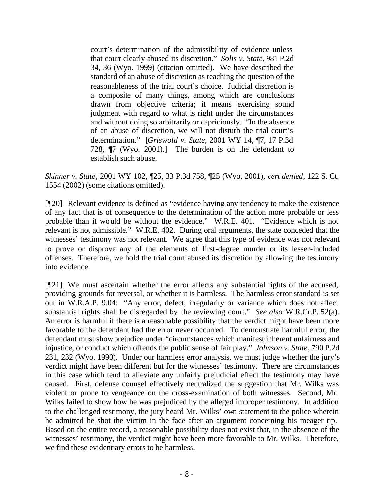court's determination of the admissibility of evidence unless that court clearly abused its discretion." *Solis v. State*, 981 P.2d 34, 36 (Wyo. 1999) (citation omitted). We have described the standard of an abuse of discretion as reaching the question of the reasonableness of the trial court's choice. Judicial discretion is a composite of many things, among which are conclusions drawn from objective criteria; it means exercising sound judgment with regard to what is right under the circumstances and without doing so arbitrarily or capriciously. "In the absence of an abuse of discretion, we will not disturb the trial court's determination." [*Griswold v. State*, 2001 WY 14, ¶7, 17 P.3d 728, ¶7 (Wyo. 2001).] The burden is on the defendant to establish such abuse.

*Skinner v. State*, 2001 WY 102, ¶25, 33 P.3d 758, ¶25 (Wyo. 2001), *cert denied*, 122 S. Ct. 1554 (2002) (some citations omitted).

[¶20] Relevant evidence is defined as "evidence having any tendency to make the existence of any fact that is of consequence to the determination of the action more probable or less probable than it would be without the evidence." W.R.E. 401. "Evidence which is not relevant is not admissible." W.R.E. 402. During oral arguments, the state conceded that the witnesses' testimony was not relevant. We agree that this type of evidence was not relevant to prove or disprove any of the elements of first-degree murder or its lesser-included offenses. Therefore, we hold the trial court abused its discretion by allowing the testimony into evidence.

[¶21] We must ascertain whether the error affects any substantial rights of the accused, providing grounds for reversal, or whether it is harmless. The harmless error standard is set out in W.R.A.P. 9.04: "Any error, defect, irregularity or variance which does not affect substantial rights shall be disregarded by the reviewing court." *See also* W.R.Cr.P. 52(a). An error is harmful if there is a reasonable possibility that the verdict might have been more favorable to the defendant had the error never occurred. To demonstrate harmful error, the defendant must show prejudice under "circumstances which manifest inherent unfairness and injustice, or conduct which offends the public sense of fair play." *Johnson v. State*, 790 P.2d 231, 232 (Wyo. 1990). Under our harmless error analysis, we must judge whether the jury's verdict might have been different but for the witnesses' testimony. There are circumstances in this case which tend to alleviate any unfairly prejudicial effect the testimony may have caused. First, defense counsel effectively neutralized the suggestion that Mr. Wilks was violent or prone to vengeance on the cross-examination of both witnesses. Second, Mr. Wilks failed to show how he was prejudiced by the alleged improper testimony. In addition to the challenged testimony, the jury heard Mr. Wilks' own statement to the police wherein he admitted he shot the victim in the face after an argument concerning his meager tip. Based on the entire record, a reasonable possibility does not exist that, in the absence of the witnesses' testimony, the verdict might have been more favorable to Mr. Wilks. Therefore, we find these evidentiary errors to be harmless.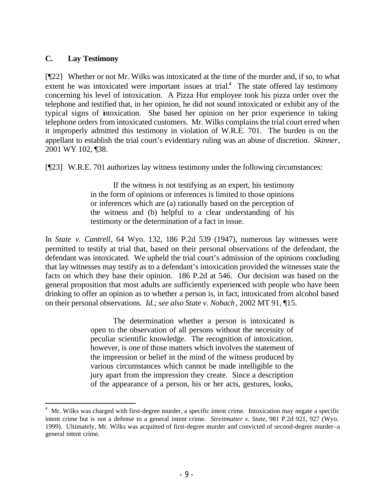#### **C. Lay Testimony**

[¶22] Whether or not Mr. Wilks was intoxicated at the time of the murder and, if so, to what extent he was intoxicated were important issues at trial.<sup>4</sup> The state offered lay testimony concerning his level of intoxication. A Pizza Hut employee took his pizza order over the telephone and testified that, in her opinion, he did not sound intoxicated or exhibit any of the typical signs of intoxication. She based her opinion on her prior experience in taking telephone orders from intoxicated customers. Mr. Wilks complains the trial court erred when it improperly admitted this testimony in violation of W.R.E. 701. The burden is on the appellant to establish the trial court's evidentiary ruling was an abuse of discretion. *Skinner*, 2001 WY 102, ¶38.

[¶23] W.R.E. 701 authorizes lay witness testimony under the following circumstances:

If the witness is not testifying as an expert, his testimony in the form of opinions or inferences is limited to those opinions or inferences which are (a) rationally based on the perception of the witness and (b) helpful to a clear understanding of his testimony or the determination of a fact in issue.

In *State v. Cantrell*, 64 Wyo. 132, 186 P.2d 539 (1947), numerous lay witnesses were permitted to testify at trial that, based on their personal observations of the defendant, the defendant was intoxicated. We upheld the trial court's admission of the opinions concluding that lay witnesses may testify as to a defendant's intoxication provided the witnesses state the facts on which they base their opinion. 186 P.2d at 546. Our decision was based on the general proposition that most adults are sufficiently experienced with people who have been drinking to offer an opinion as to whether a person is, in fact, intoxicated from alcohol based on their personal observations. *Id.; see also State v. Nobach*, 2002 MT 91, ¶15.

> The determination whether a person is intoxicated is open to the observation of all persons without the necessity of peculiar scientific knowledge. The recognition of intoxication, however, is one of those matters which involves the statement of the impression or belief in the mind of the witness produced by various circumstances which cannot be made intelligible to the jury apart from the impression they create. Since a description of the appearance of a person, his or her acts, gestures, looks,

<sup>&</sup>lt;sup>4</sup> Mr. Wilks was charged with first-degree murder, a specific intent crime. Intoxication may negate a specific intent crime but is not a defense to a general intent crime. *Streitmatter v. State*, 981 P.2d 921, 927 (Wyo. 1999). Ultimately, Mr. Wilks was acquitted of first-degree murder and convicted of second-degree murder–a general intent crime.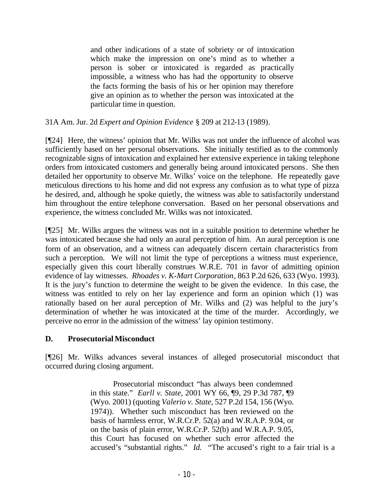and other indications of a state of sobriety or of intoxication which make the impression on one's mind as to whether a person is sober or intoxicated is regarded as practically impossible, a witness who has had the opportunity to observe the facts forming the basis of his or her opinion may therefore give an opinion as to whether the person was intoxicated at the particular time in question.

31A Am. Jur. 2d *Expert and Opinion Evidence* § 209 at 212-13 (1989).

[¶24] Here, the witness' opinion that Mr. Wilks was not under the influence of alcohol was sufficiently based on her personal observations. She initially testified as to the commonly recognizable signs of intoxication and explained her extensive experience in taking telephone orders from intoxicated customers and generally being around intoxicated persons. She then detailed her opportunity to observe Mr. Wilks' voice on the telephone. He repeatedly gave meticulous directions to his home and did not express any confusion as to what type of pizza he desired, and, although he spoke quietly, the witness was able to satisfactorily understand him throughout the entire telephone conversation. Based on her personal observations and experience, the witness concluded Mr. Wilks was not intoxicated.

[¶25] Mr. Wilks argues the witness was not in a suitable position to determine whether he was intoxicated because she had only an aural perception of him. An aural perception is one form of an observation, and a witness can adequately discern certain characteristics from such a perception. We will not limit the type of perceptions a witness must experience, especially given this court liberally construes W.R.E. 701 in favor of admitting opinion evidence of lay witnesses. *Rhoades v. K-Mart Corporation*, 863 P.2d 626, 633 (Wyo. 1993). It is the jury's function to determine the weight to be given the evidence. In this case, the witness was entitled to rely on her lay experience and form an opinion which (1) was rationally based on her aural perception of Mr. Wilks and (2) was helpful to the jury's determination of whether he was intoxicated at the time of the murder. Accordingly, we perceive no error in the admission of the witness' lay opinion testimony.

## **D. Prosecutorial Misconduct**

[¶26] Mr. Wilks advances several instances of alleged prosecutorial misconduct that occurred during closing argument.

> Prosecutorial misconduct "has always been condemned in this state." *Earll v. State*, 2001 WY 66, ¶9, 29 P.3d 787, ¶9 (Wyo. 2001) (quoting *Valerio v. State*, 527 P.2d 154, 156 (Wyo. 1974)). Whether such misconduct has been reviewed on the basis of harmless error, W.R.Cr.P. 52(a) and W.R.A.P. 9.04, or on the basis of plain error, W.R.Cr.P. 52(b) and W.R.A.P. 9.05, this Court has focused on whether such error affected the accused's "substantial rights." *Id.* "The accused's right to a fair trial is a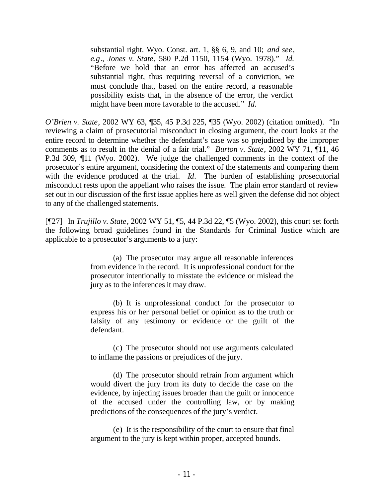substantial right. Wyo. Const. art. 1, §§ 6, 9, and 10; *and see*, *e.g*., *Jones v. State*, 580 P.2d 1150, 1154 (Wyo. 1978)." *Id.*  "Before we hold that an error has affected an accused's substantial right, thus requiring reversal of a conviction, we must conclude that, based on the entire record, a reasonable possibility exists that, in the absence of the error, the verdict might have been more favorable to the accused." *Id.*

*O'Brien v. State*, 2002 WY 63, ¶35, 45 P.3d 225, ¶35 (Wyo. 2002) (citation omitted). "In reviewing a claim of prosecutorial misconduct in closing argument, the court looks at the entire record to determine whether the defendant's case was so prejudiced by the improper comments as to result in the denial of a fair trial." *Burton v. State*, 2002 WY 71, ¶11, 46 P.3d 309, ¶11 (Wyo. 2002). We judge the challenged comments in the context of the prosecutor's entire argument, considering the context of the statements and comparing them with the evidence produced at the trial. *Id*. The burden of establishing prosecutorial misconduct rests upon the appellant who raises the issue. The plain error standard of review set out in our discussion of the first issue applies here as well given the defense did not object to any of the challenged statements.

[¶27] In *Trujillo v. State*, 2002 WY 51, ¶5, 44 P.3d 22, ¶5 (Wyo. 2002), this court set forth the following broad guidelines found in the Standards for Criminal Justice which are applicable to a prosecutor's arguments to a jury:

> (a) The prosecutor may argue all reasonable inferences from evidence in the record. It is unprofessional conduct for the prosecutor intentionally to misstate the evidence or mislead the jury as to the inferences it may draw.

> (b) It is unprofessional conduct for the prosecutor to express his or her personal belief or opinion as to the truth or falsity of any testimony or evidence or the guilt of the defendant.

> (c) The prosecutor should not use arguments calculated to inflame the passions or prejudices of the jury.

> (d) The prosecutor should refrain from argument which would divert the jury from its duty to decide the case on the evidence, by injecting issues broader than the guilt or innocence of the accused under the controlling law, or by making predictions of the consequences of the jury's verdict.

> (e) It is the responsibility of the court to ensure that final argument to the jury is kept within proper, accepted bounds.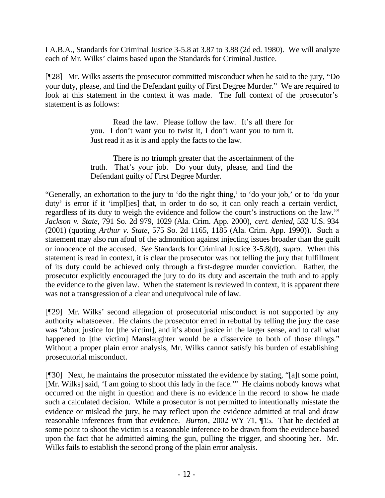I A.B.A., Standards for Criminal Justice 3-5.8 at 3.87 to 3.88 (2d ed. 1980). We will analyze each of Mr. Wilks' claims based upon the Standards for Criminal Justice.

[¶28] Mr. Wilks asserts the prosecutor committed misconduct when he said to the jury, "Do your duty, please, and find the Defendant guilty of First Degree Murder." We are required to look at this statement in the context it was made. The full context of the prosecutor's statement is as follows:

> Read the law. Please follow the law. It's all there for you. I don't want you to twist it, I don't want you to turn it. Just read it as it is and apply the facts to the law.

> There is no triumph greater that the ascertainment of the truth. That's your job. Do your duty, please, and find the Defendant guilty of First Degree Murder.

"Generally, an exhortation to the jury to 'do the right thing,' to 'do your job,' or to 'do your duty' is error if it 'imples' that, in order to do so, it can only reach a certain verdict, regardless of its duty to weigh the evidence and follow the court's instructions on the law.'" *Jackson v. State*, 791 So. 2d 979, 1029 (Ala. Crim. App. 2000), *cert. denied*, 532 U.S. 934 (2001) (quoting *Arthur v. State*, 575 So. 2d 1165, 1185 (Ala. Crim. App. 1990)). Such a statement may also run afoul of the admonition against injecting issues broader than the guilt or innocence of the accused. *See* Standards for Criminal Justice 3-5.8(d), *supra*. When this statement is read in context, it is clear the prosecutor was not telling the jury that fulfillment of its duty could be achieved only through a first-degree murder conviction. Rather, the prosecutor explicitly encouraged the jury to do its duty and ascertain the truth and to apply the evidence to the given law. When the statement is reviewed in context, it is apparent there was not a transgression of a clear and unequivocal rule of law.

[¶29] Mr. Wilks' second allegation of prosecutorial misconduct is not supported by any authority whatsoever. He claims the prosecutor erred in rebuttal by telling the jury the case was "about justice for [the victim], and it's about justice in the larger sense, and to call what happened to [the victim] Manslaughter would be a disservice to both of those things." Without a proper plain error analysis, Mr. Wilks cannot satisfy his burden of establishing prosecutorial misconduct.

[¶30] Next, he maintains the prosecutor misstated the evidence by stating, "[a]t some point, [Mr. Wilks] said, 'I am going to shoot this lady in the face.'" He claims nobody knows what occurred on the night in question and there is no evidence in the record to show he made such a calculated decision. While a prosecutor is not permitted to intentionally misstate the evidence or mislead the jury, he may reflect upon the evidence admitted at trial and draw reasonable inferences from that evidence. *Burton*, 2002 WY 71, ¶15. That he decided at some point to shoot the victim is a reasonable inference to be drawn from the evidence based upon the fact that he admitted aiming the gun, pulling the trigger, and shooting her. Mr. Wilks fails to establish the second prong of the plain error analysis.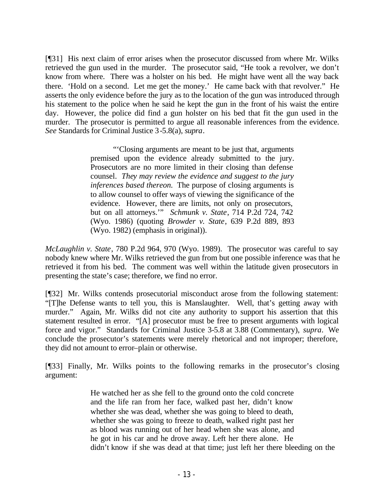[¶31] His next claim of error arises when the prosecutor discussed from where Mr. Wilks retrieved the gun used in the murder. The prosecutor said, "He took a revolver, we don't know from where. There was a holster on his bed. He might have went all the way back there. 'Hold on a second. Let me get the money.' He came back with that revolver." He asserts the only evidence before the jury as to the location of the gun was introduced through his statement to the police when he said he kept the gun in the front of his waist the entire day. However, the police did find a gun holster on his bed that fit the gun used in the murder. The prosecutor is permitted to argue all reasonable inferences from the evidence. *See* Standards for Criminal Justice 3-5.8(a), *supra*.

> "'Closing arguments are meant to be just that, arguments premised upon the evidence already submitted to the jury. Prosecutors are no more limited in their closing than defense counsel. *They may review the evidence and suggest to the jury inferences based thereon.* The purpose of closing arguments is to allow counsel to offer ways of viewing the significance of the evidence. However, there are limits, not only on prosecutors, but on all attorneys.'" *Schmunk v. State*, 714 P.2d 724, 742 (Wyo. 1986) (quoting *Browder v. State*, 639 P.2d 889, 893 (Wyo. 1982) (emphasis in original)).

*McLaughlin v. State*, 780 P.2d 964, 970 (Wyo. 1989). The prosecutor was careful to say nobody knew where Mr. Wilks retrieved the gun from but one possible inference was that he retrieved it from his bed. The comment was well within the latitude given prosecutors in presenting the state's case; therefore, we find no error.

[¶32] Mr. Wilks contends prosecutorial misconduct arose from the following statement: "[T]he Defense wants to tell you, this is Manslaughter. Well, that's getting away with murder." Again, Mr. Wilks did not cite any authority to support his assertion that this statement resulted in error. "[A] prosecutor must be free to present arguments with logical force and vigor." Standards for Criminal Justice 3-5.8 at 3.88 (Commentary), *supra*. We conclude the prosecutor's statements were merely rhetorical and not improper; therefore, they did not amount to error–plain or otherwise.

[¶33] Finally, Mr. Wilks points to the following remarks in the prosecutor's closing argument:

> He watched her as she fell to the ground onto the cold concrete and the life ran from her face, walked past her, didn't know whether she was dead, whether she was going to bleed to death, whether she was going to freeze to death, walked right past her as blood was running out of her head when she was alone, and he got in his car and he drove away. Left her there alone. He didn't know if she was dead at that time; just left her there bleeding on the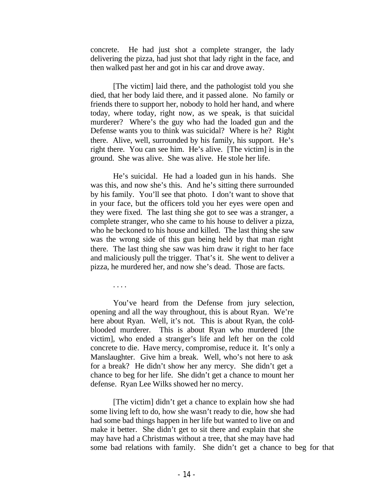concrete. He had just shot a complete stranger, the lady delivering the pizza, had just shot that lady right in the face, and then walked past her and got in his car and drove away.

[The victim] laid there, and the pathologist told you she died, that her body laid there, and it passed alone. No family or friends there to support her, nobody to hold her hand, and where today, where today, right now, as we speak, is that suicidal murderer? Where's the guy who had the loaded gun and the Defense wants you to think was suicidal? Where is he? Right there. Alive, well, surrounded by his family, his support. He's right there. You can see him. He's alive. [The victim] is in the ground. She was alive. She was alive. He stole her life.

He's suicidal. He had a loaded gun in his hands. She was this, and now she's this. And he's sitting there surrounded by his family. You'll see that photo. I don't want to shove that in your face, but the officers told you her eyes were open and they were fixed. The last thing she got to see was a stranger, a complete stranger, who she came to his house to deliver a pizza, who he beckoned to his house and killed. The last thing she saw was the wrong side of this gun being held by that man right there. The last thing she saw was him draw it right to her face and maliciously pull the trigger. That's it. She went to deliver a pizza, he murdered her, and now she's dead. Those are facts.

. . . .

You've heard from the Defense from jury selection, opening and all the way throughout, this is about Ryan. We're here about Ryan. Well, it's not. This is about Ryan, the coldblooded murderer. This is about Ryan who murdered [the victim], who ended a stranger's life and left her on the cold concrete to die. Have mercy, compromise, reduce it. It's only a Manslaughter. Give him a break. Well, who's not here to ask for a break? He didn't show her any mercy. She didn't get a chance to beg for her life. She didn't get a chance to mount her defense. Ryan Lee Wilks showed her no mercy.

[The victim] didn't get a chance to explain how she had some living left to do, how she wasn't ready to die, how she had had some bad things happen in her life but wanted to live on and make it better. She didn't get to sit there and explain that she may have had a Christmas without a tree, that she may have had some bad relations with family. She didn't get a chance to beg for that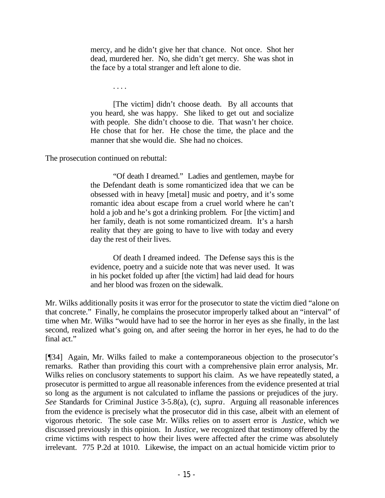mercy, and he didn't give her that chance. Not once. Shot her dead, murdered her. No, she didn't get mercy. She was shot in the face by a total stranger and left alone to die.

. . . .

[The victim] didn't choose death. By all accounts that you heard, she was happy. She liked to get out and socialize with people. She didn't choose to die. That wasn't her choice. He chose that for her. He chose the time, the place and the manner that she would die. She had no choices.

The prosecution continued on rebuttal:

"Of death I dreamed." Ladies and gentlemen, maybe for the Defendant death is some romanticized idea that we can be obsessed with in heavy [metal] music and poetry, and it's some romantic idea about escape from a cruel world where he can't hold a job and he's got a drinking problem. For [the victim] and her family, death is not some romanticized dream. It's a harsh reality that they are going to have to live with today and every day the rest of their lives.

Of death I dreamed indeed. The Defense says this is the evidence, poetry and a suicide note that was never used. It was in his pocket folded up after [the victim] had laid dead for hours and her blood was frozen on the sidewalk.

Mr. Wilks additionally posits it was error for the prosecutor to state the victim died "alone on that concrete." Finally, he complains the prosecutor improperly talked about an "interval" of time when Mr. Wilks "would have had to see the horror in her eyes as she finally, in the last second, realized what's going on, and after seeing the horror in her eyes, he had to do the final act."

[¶34] Again, Mr. Wilks failed to make a contemporaneous objection to the prosecutor's remarks. Rather than providing this court with a comprehensive plain error analysis, Mr. Wilks relies on conclusory statements to support his claim. As we have repeatedly stated, a prosecutor is permitted to argue all reasonable inferences from the evidence presented at trial so long as the argument is not calculated to inflame the passions or prejudices of the jury. *See* Standards for Criminal Justice 3-5.8(a), (c), *supra*. Arguing all reasonable inferences from the evidence is precisely what the prosecutor did in this case, albeit with an element of vigorous rhetoric. The sole case Mr. Wilks relies on to assert error is *Justice*, which we discussed previously in this opinion. In *Justice*, we recognized that testimony offered by the crime victims with respect to how their lives were affected after the crime was absolutely irrelevant. 775 P.2d at 1010. Likewise, the impact on an actual homicide victim prior to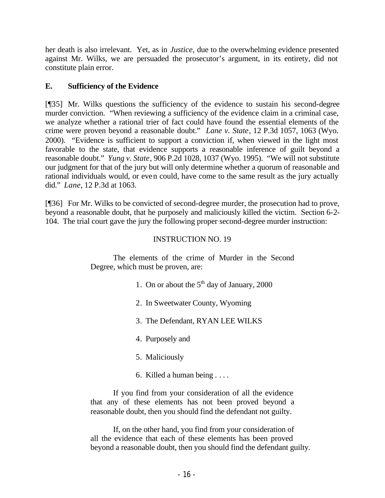her death is also irrelevant. Yet, as in *Justice,* due to the overwhelming evidence presented against Mr. Wilks, we are persuaded the prosecutor's argument, in its entirety, did not constitute plain error.

# **E. Sufficiency of the Evidence**

[¶35] Mr. Wilks questions the sufficiency of the evidence to sustain his second-degree murder conviction. "When reviewing a sufficiency of the evidence claim in a criminal case, we analyze whether a rational trier of fact could have found the essential elements of the crime were proven beyond a reasonable doubt." *Lane v. State*, 12 P.3d 1057, 1063 (Wyo. 2000). "Evidence is sufficient to support a conviction if, when viewed in the light most favorable to the state, that evidence supports a reasonable inference of guilt beyond a reasonable doubt." *Yung v. State*, 906 P.2d 1028, 1037 (Wyo. 1995). "We will not substitute our judgment for that of the jury but will only determine whether a quorum of reasonable and rational individuals would, or even could, have come to the same result as the jury actually did." *Lane*, 12 P.3d at 1063.

[¶36] For Mr. Wilks to be convicted of second-degree murder, the prosecution had to prove, beyond a reasonable doubt, that he purposely and maliciously killed the victim. Section 6-2- 104. The trial court gave the jury the following proper second-degree murder instruction:

# INSTRUCTION NO. 19

The elements of the crime of Murder in the Second Degree, which must be proven, are:

- 1. On or about the  $5<sup>th</sup>$  day of January, 2000
- 2. In Sweetwater County, Wyoming
- 3. The Defendant, RYAN LEE WILKS
- 4. Purposely and
- 5. Maliciously
- 6. Killed a human being . . . .

If you find from your consideration of all the evidence that any of these elements has not been proved beyond a reasonable doubt, then you should find the defendant not guilty.

If, on the other hand, you find from your consideration of all the evidence that each of these elements has been proved beyond a reasonable doubt, then you should find the defendant guilty.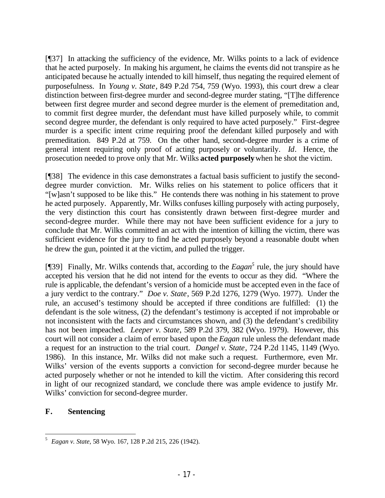[¶37] In attacking the sufficiency of the evidence, Mr. Wilks points to a lack of evidence that he acted purposely. In making his argument, he claims the events did not transpire as he anticipated because he actually intended to kill himself, thus negating the required element of purposefulness. In *Young v. State*, 849 P.2d 754, 759 (Wyo. 1993), this court drew a clear distinction between first-degree murder and second-degree murder stating, "[T]he difference between first degree murder and second degree murder is the element of premeditation and, to commit first degree murder, the defendant must have killed purposely while, to commit second degree murder, the defendant is only required to have acted purposely." First-degree murder is a specific intent crime requiring proof the defendant killed purposely and with premeditation. 849 P.2d at 759. On the other hand, second-degree murder is a crime of general intent requiring only proof of acting purposely or voluntarily. *Id*. Hence, the prosecution needed to prove only that Mr. Wilks **acted purposely** when he shot the victim.

[¶38] The evidence in this case demonstrates a factual basis sufficient to justify the seconddegree murder conviction. Mr. Wilks relies on his statement to police officers that it "[w]asn't supposed to be like this." He contends there was nothing in his statement to prove he acted purposely. Apparently, Mr. Wilks confuses killing purposely with acting purposely, the very distinction this court has consistently drawn between first-degree murder and second-degree murder. While there may not have been sufficient evidence for a jury to conclude that Mr. Wilks committed an act with the intention of killing the victim, there was sufficient evidence for the jury to find he acted purposely beyond a reasonable doubt when he drew the gun, pointed it at the victim, and pulled the trigger.

[¶39] Finally, Mr. Wilks contends that, according to the *Eagan*<sup>5</sup> rule, the jury should have accepted his version that he did not intend for the events to occur as they did. "Where the rule is applicable, the defendant's version of a homicide must be accepted even in the face of a jury verdict to the contrary." *Doe v. State*, 569 P.2d 1276, 1279 (Wyo. 1977). Under the rule, an accused's testimony should be accepted if three conditions are fulfilled: (1) the defendant is the sole witness, (2) the defendant's testimony is accepted if not improbable or not inconsistent with the facts and circumstances shown, and (3) the defendant's credibility has not been impeached. *Leeper v. State*, 589 P.2d 379, 382 (Wyo. 1979). However, this court will not consider a claim of error based upon the *Eagan* rule unless the defendant made a request for an instruction to the trial court. *Dangel v. State*, 724 P.2d 1145, 1149 (Wyo. 1986). In this instance, Mr. Wilks did not make such a request. Furthermore, even Mr. Wilks' version of the events supports a conviction for second-degree murder because he acted purposely whether or not he intended to kill the victim. After considering this record in light of our recognized standard, we conclude there was ample evidence to justify Mr. Wilks' conviction for second-degree murder.

## **F. Sentencing**

 5 *Eagan v. State*, 58 Wyo. 167, 128 P.2d 215, 226 (1942).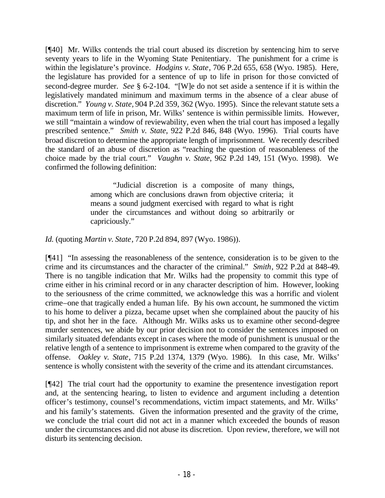[¶40] Mr. Wilks contends the trial court abused its discretion by sentencing him to serve seventy years to life in the Wyoming State Penitentiary. The punishment for a crime is within the legislature's province. *Hodgins v. State*, 706 P.2d 655, 658 (Wyo. 1985). Here, the legislature has provided for a sentence of up to life in prison for those convicted of second-degree murder. *See* § 6-2-104. "[W]e do not set aside a sentence if it is within the legislatively mandated minimum and maximum terms in the absence of a clear abuse of discretion." *Young v. State,* 904 P.2d 359, 362 (Wyo. 1995). Since the relevant statute sets a maximum term of life in prison, Mr. Wilks' sentence is within permissible limits. However, we still "maintain a window of reviewability, even when the trial court has imposed a legally prescribed sentence." *Smith v. State*, 922 P.2d 846, 848 (Wyo. 1996). Trial courts have broad discretion to determine the appropriate length of imprisonment. We recently described the standard of an abuse of discretion as "reaching the question of reasonableness of the choice made by the trial court." *Vaughn v. State*, 962 P.2d 149, 151 (Wyo. 1998). We confirmed the following definition:

> "Judicial discretion is a composite of many things, among which are conclusions drawn from objective criteria; it means a sound judgment exercised with regard to what is right under the circumstances and without doing so arbitrarily or capriciously."

*Id.* (quoting *Martin v. State*, 720 P.2d 894, 897 (Wyo. 1986)).

[¶41] "In assessing the reasonableness of the sentence, consideration is to be given to the crime and its circumstances and the character of the criminal." *Smith*, 922 P.2d at 848-49. There is no tangible indication that Mr. Wilks had the propensity to commit this type of crime either in his criminal record or in any character description of him. However, looking to the seriousness of the crime committed, we acknowledge this was a horrific and violent crime–one that tragically ended a human life. By his own account, he summoned the victim to his home to deliver a pizza, became upset when she complained about the paucity of his tip, and shot her in the face. Although Mr. Wilks asks us to examine other second-degree murder sentences, we abide by our prior decision not to consider the sentences imposed on similarly situated defendants except in cases where the mode of punishment is unusual or the relative length of a sentence to imprisonment is extreme when compared to the gravity of the offense. *Oakley v. State*, 715 P.2d 1374, 1379 (Wyo. 1986). In this case, Mr. Wilks' sentence is wholly consistent with the severity of the crime and its attendant circumstances.

[¶42] The trial court had the opportunity to examine the presentence investigation report and, at the sentencing hearing, to listen to evidence and argument including a detention officer's testimony, counsel's recommendations, victim impact statements, and Mr. Wilks' and his family's statements. Given the information presented and the gravity of the crime, we conclude the trial court did not act in a manner which exceeded the bounds of reason under the circumstances and did not abuse its discretion. Upon review, therefore, we will not disturb its sentencing decision.